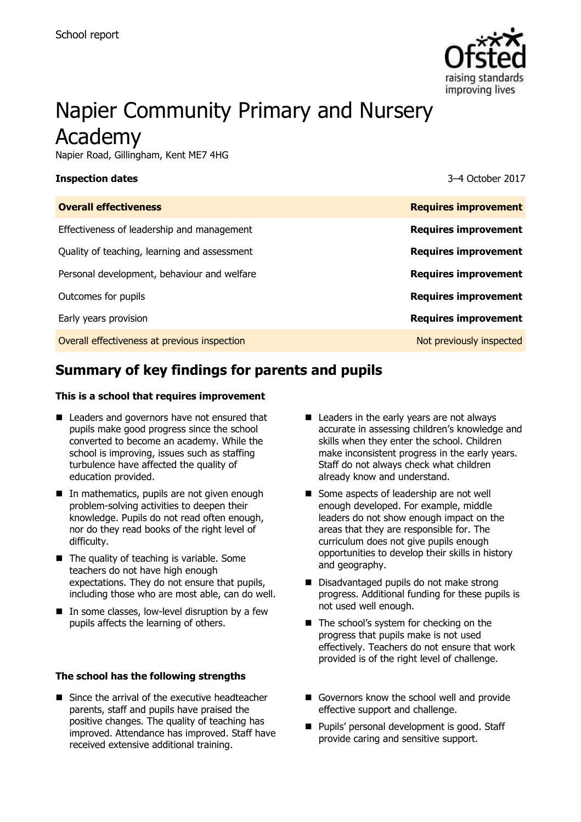

# Napier Community Primary and Nursery Academy

Napier Road, Gillingham, Kent ME7 4HG

#### **Inspection dates** 3–4 October 2017

| <b>Overall effectiveness</b>                 | <b>Requires improvement</b> |
|----------------------------------------------|-----------------------------|
| Effectiveness of leadership and management   | <b>Requires improvement</b> |
| Quality of teaching, learning and assessment | <b>Requires improvement</b> |
| Personal development, behaviour and welfare  | <b>Requires improvement</b> |
| Outcomes for pupils                          | <b>Requires improvement</b> |
| Early years provision                        | <b>Requires improvement</b> |
| Overall effectiveness at previous inspection | Not previously inspected    |
|                                              |                             |

# **Summary of key findings for parents and pupils**

#### **This is a school that requires improvement**

- Leaders and governors have not ensured that pupils make good progress since the school converted to become an academy. While the school is improving, issues such as staffing turbulence have affected the quality of education provided.
- $\blacksquare$  In mathematics, pupils are not given enough problem-solving activities to deepen their knowledge. Pupils do not read often enough, nor do they read books of the right level of difficulty.
- $\blacksquare$  The quality of teaching is variable. Some teachers do not have high enough expectations. They do not ensure that pupils, including those who are most able, can do well.
- $\blacksquare$  In some classes, low-level disruption by a few pupils affects the learning of others.

#### **The school has the following strengths**

■ Since the arrival of the executive headteacher parents, staff and pupils have praised the positive changes. The quality of teaching has improved. Attendance has improved. Staff have received extensive additional training.

- Leaders in the early years are not always accurate in assessing children's knowledge and skills when they enter the school. Children make inconsistent progress in the early years. Staff do not always check what children already know and understand.
- Some aspects of leadership are not well enough developed. For example, middle leaders do not show enough impact on the areas that they are responsible for. The curriculum does not give pupils enough opportunities to develop their skills in history and geography.
- Disadvantaged pupils do not make strong progress. Additional funding for these pupils is not used well enough.
- The school's system for checking on the progress that pupils make is not used effectively. Teachers do not ensure that work provided is of the right level of challenge.
- Governors know the school well and provide effective support and challenge.
- **Pupils' personal development is good. Staff** provide caring and sensitive support.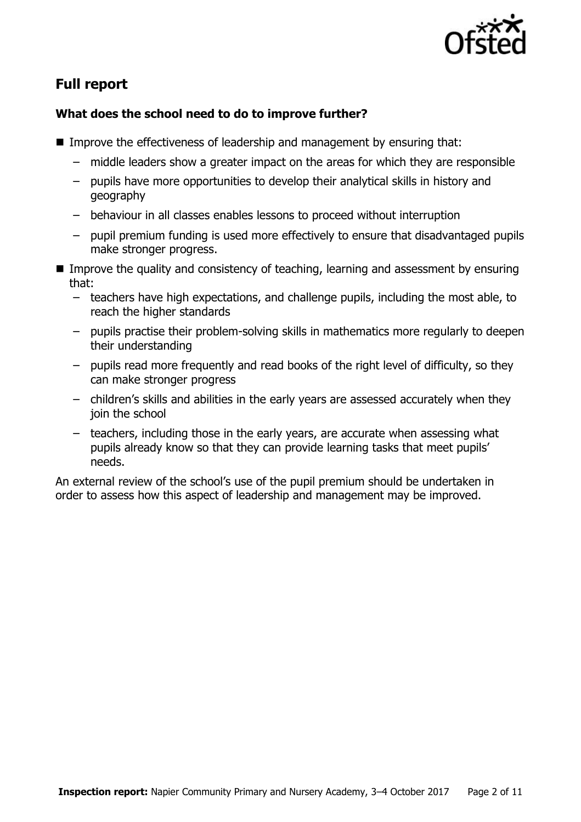

# **Full report**

### **What does the school need to do to improve further?**

- Improve the effectiveness of leadership and management by ensuring that:
	- middle leaders show a greater impact on the areas for which they are responsible
	- pupils have more opportunities to develop their analytical skills in history and geography
	- behaviour in all classes enables lessons to proceed without interruption
	- pupil premium funding is used more effectively to ensure that disadvantaged pupils make stronger progress.
- Improve the quality and consistency of teaching, learning and assessment by ensuring that:
	- teachers have high expectations, and challenge pupils, including the most able, to reach the higher standards
	- pupils practise their problem-solving skills in mathematics more regularly to deepen their understanding
	- pupils read more frequently and read books of the right level of difficulty, so they can make stronger progress
	- children's skills and abilities in the early years are assessed accurately when they join the school
	- teachers, including those in the early years, are accurate when assessing what pupils already know so that they can provide learning tasks that meet pupils' needs.

An external review of the school's use of the pupil premium should be undertaken in order to assess how this aspect of leadership and management may be improved.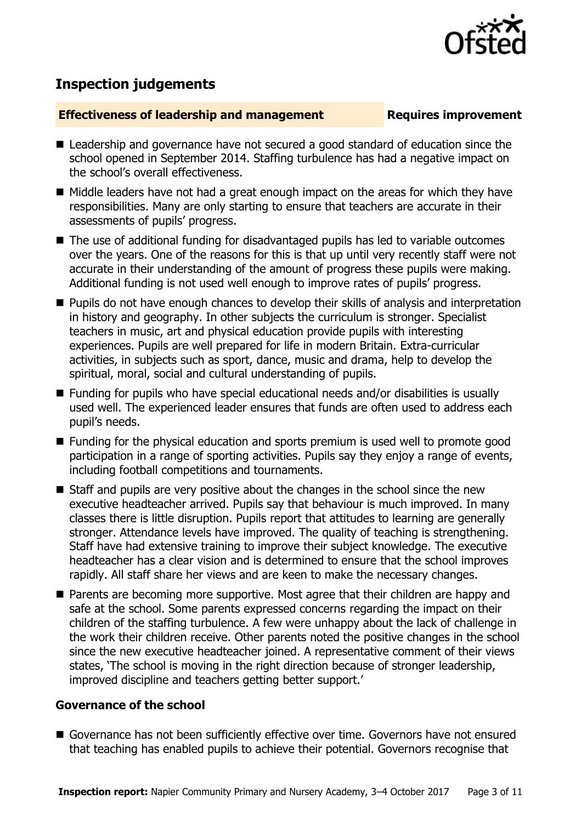

## **Inspection judgements**

#### **Effectiveness of leadership and management Requires improvement**

- Leadership and governance have not secured a good standard of education since the school opened in September 2014. Staffing turbulence has had a negative impact on the school's overall effectiveness.
- $\blacksquare$  Middle leaders have not had a great enough impact on the areas for which they have responsibilities. Many are only starting to ensure that teachers are accurate in their assessments of pupils' progress.
- The use of additional funding for disadvantaged pupils has led to variable outcomes over the years. One of the reasons for this is that up until very recently staff were not accurate in their understanding of the amount of progress these pupils were making. Additional funding is not used well enough to improve rates of pupils' progress.
- **Pupils do not have enough chances to develop their skills of analysis and interpretation** in history and geography. In other subjects the curriculum is stronger. Specialist teachers in music, art and physical education provide pupils with interesting experiences. Pupils are well prepared for life in modern Britain. Extra-curricular activities, in subjects such as sport, dance, music and drama, help to develop the spiritual, moral, social and cultural understanding of pupils.
- Funding for pupils who have special educational needs and/or disabilities is usually used well. The experienced leader ensures that funds are often used to address each pupil's needs.
- Funding for the physical education and sports premium is used well to promote good participation in a range of sporting activities. Pupils say they enjoy a range of events, including football competitions and tournaments.
- Staff and pupils are very positive about the changes in the school since the new executive headteacher arrived. Pupils say that behaviour is much improved. In many classes there is little disruption. Pupils report that attitudes to learning are generally stronger. Attendance levels have improved. The quality of teaching is strengthening. Staff have had extensive training to improve their subject knowledge. The executive headteacher has a clear vision and is determined to ensure that the school improves rapidly. All staff share her views and are keen to make the necessary changes.
- Parents are becoming more supportive. Most agree that their children are happy and safe at the school. Some parents expressed concerns regarding the impact on their children of the staffing turbulence. A few were unhappy about the lack of challenge in the work their children receive. Other parents noted the positive changes in the school since the new executive headteacher joined. A representative comment of their views states, 'The school is moving in the right direction because of stronger leadership, improved discipline and teachers getting better support.'

#### **Governance of the school**

Governance has not been sufficiently effective over time. Governors have not ensured that teaching has enabled pupils to achieve their potential. Governors recognise that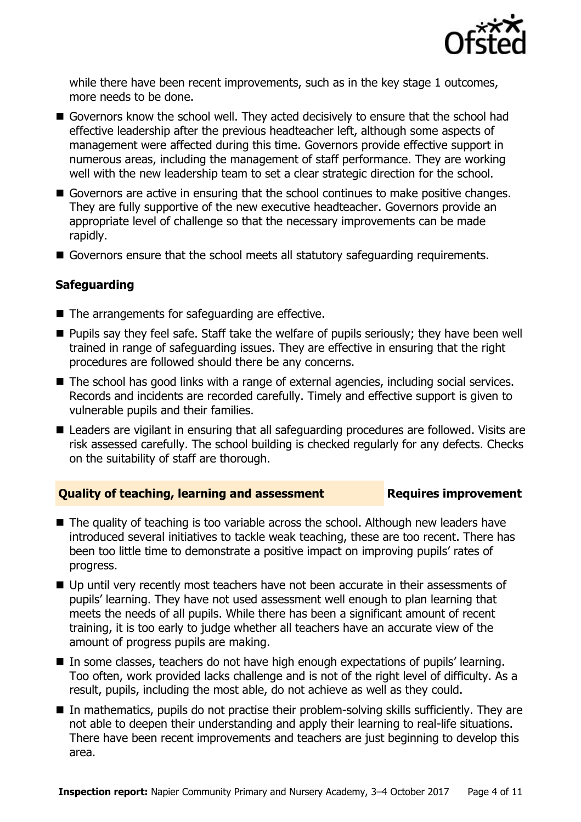

while there have been recent improvements, such as in the key stage 1 outcomes, more needs to be done.

- Governors know the school well. They acted decisively to ensure that the school had effective leadership after the previous headteacher left, although some aspects of management were affected during this time. Governors provide effective support in numerous areas, including the management of staff performance. They are working well with the new leadership team to set a clear strategic direction for the school.
- Governors are active in ensuring that the school continues to make positive changes. They are fully supportive of the new executive headteacher. Governors provide an appropriate level of challenge so that the necessary improvements can be made rapidly.
- Governors ensure that the school meets all statutory safeguarding requirements.

### **Safeguarding**

- The arrangements for safeguarding are effective.
- **Pupils say they feel safe. Staff take the welfare of pupils seriously; they have been well** trained in range of safeguarding issues. They are effective in ensuring that the right procedures are followed should there be any concerns.
- The school has good links with a range of external agencies, including social services. Records and incidents are recorded carefully. Timely and effective support is given to vulnerable pupils and their families.
- Leaders are vigilant in ensuring that all safeguarding procedures are followed. Visits are risk assessed carefully. The school building is checked regularly for any defects. Checks on the suitability of staff are thorough.

#### **Quality of teaching, learning and assessment Fig. 2.1 Requires improvement**

- The quality of teaching is too variable across the school. Although new leaders have introduced several initiatives to tackle weak teaching, these are too recent. There has been too little time to demonstrate a positive impact on improving pupils' rates of progress.
- Up until very recently most teachers have not been accurate in their assessments of pupils' learning. They have not used assessment well enough to plan learning that meets the needs of all pupils. While there has been a significant amount of recent training, it is too early to judge whether all teachers have an accurate view of the amount of progress pupils are making.
- In some classes, teachers do not have high enough expectations of pupils' learning. Too often, work provided lacks challenge and is not of the right level of difficulty. As a result, pupils, including the most able, do not achieve as well as they could.
- In mathematics, pupils do not practise their problem-solving skills sufficiently. They are not able to deepen their understanding and apply their learning to real-life situations. There have been recent improvements and teachers are just beginning to develop this area.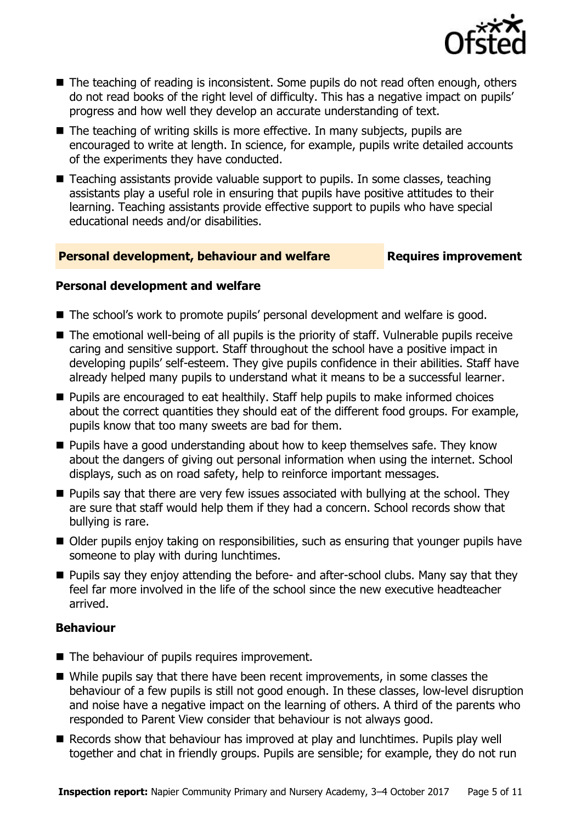

- The teaching of reading is inconsistent. Some pupils do not read often enough, others do not read books of the right level of difficulty. This has a negative impact on pupils' progress and how well they develop an accurate understanding of text.
- $\blacksquare$  The teaching of writing skills is more effective. In many subjects, pupils are encouraged to write at length. In science, for example, pupils write detailed accounts of the experiments they have conducted.
- Teaching assistants provide valuable support to pupils. In some classes, teaching assistants play a useful role in ensuring that pupils have positive attitudes to their learning. Teaching assistants provide effective support to pupils who have special educational needs and/or disabilities.

### **Personal development, behaviour and welfare <b>Requires improvement**

#### **Personal development and welfare**

- The school's work to promote pupils' personal development and welfare is good.
- The emotional well-being of all pupils is the priority of staff. Vulnerable pupils receive caring and sensitive support. Staff throughout the school have a positive impact in developing pupils' self-esteem. They give pupils confidence in their abilities. Staff have already helped many pupils to understand what it means to be a successful learner.
- **Pupils are encouraged to eat healthily. Staff help pupils to make informed choices** about the correct quantities they should eat of the different food groups. For example, pupils know that too many sweets are bad for them.
- $\blacksquare$  Pupils have a good understanding about how to keep themselves safe. They know about the dangers of giving out personal information when using the internet. School displays, such as on road safety, help to reinforce important messages.
- $\blacksquare$  Pupils say that there are very few issues associated with bullying at the school. They are sure that staff would help them if they had a concern. School records show that bullying is rare.
- Older pupils enjoy taking on responsibilities, such as ensuring that younger pupils have someone to play with during lunchtimes.
- **Pupils say they enjoy attending the before- and after-school clubs. Many say that they** feel far more involved in the life of the school since the new executive headteacher arrived.

### **Behaviour**

- The behaviour of pupils requires improvement.
- While pupils say that there have been recent improvements, in some classes the behaviour of a few pupils is still not good enough. In these classes, low-level disruption and noise have a negative impact on the learning of others. A third of the parents who responded to Parent View consider that behaviour is not always good.
- Records show that behaviour has improved at play and lunchtimes. Pupils play well together and chat in friendly groups. Pupils are sensible; for example, they do not run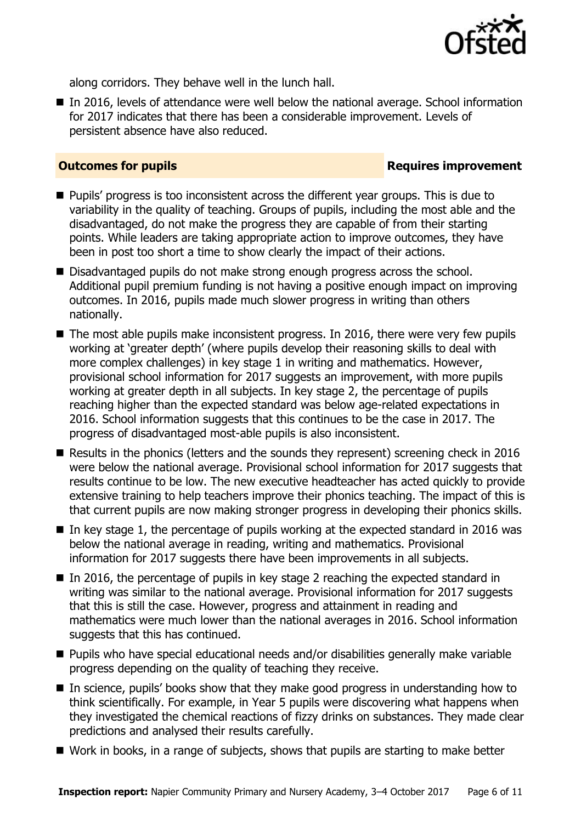

along corridors. They behave well in the lunch hall.

■ In 2016, levels of attendance were well below the national average. School information for 2017 indicates that there has been a considerable improvement. Levels of persistent absence have also reduced.

#### **Outcomes for pupils Requires improvement**

- **Pupils'** progress is too inconsistent across the different year groups. This is due to variability in the quality of teaching. Groups of pupils, including the most able and the disadvantaged, do not make the progress they are capable of from their starting points. While leaders are taking appropriate action to improve outcomes, they have been in post too short a time to show clearly the impact of their actions.
- Disadvantaged pupils do not make strong enough progress across the school. Additional pupil premium funding is not having a positive enough impact on improving outcomes. In 2016, pupils made much slower progress in writing than others nationally.
- $\blacksquare$  The most able pupils make inconsistent progress. In 2016, there were very few pupils working at 'greater depth' (where pupils develop their reasoning skills to deal with more complex challenges) in key stage 1 in writing and mathematics. However, provisional school information for 2017 suggests an improvement, with more pupils working at greater depth in all subjects. In key stage 2, the percentage of pupils reaching higher than the expected standard was below age-related expectations in 2016. School information suggests that this continues to be the case in 2017. The progress of disadvantaged most-able pupils is also inconsistent.
- Results in the phonics (letters and the sounds they represent) screening check in 2016 were below the national average. Provisional school information for 2017 suggests that results continue to be low. The new executive headteacher has acted quickly to provide extensive training to help teachers improve their phonics teaching. The impact of this is that current pupils are now making stronger progress in developing their phonics skills.
- $\blacksquare$  In key stage 1, the percentage of pupils working at the expected standard in 2016 was below the national average in reading, writing and mathematics. Provisional information for 2017 suggests there have been improvements in all subjects.
- In 2016, the percentage of pupils in key stage 2 reaching the expected standard in writing was similar to the national average. Provisional information for 2017 suggests that this is still the case. However, progress and attainment in reading and mathematics were much lower than the national averages in 2016. School information suggests that this has continued.
- Pupils who have special educational needs and/or disabilities generally make variable progress depending on the quality of teaching they receive.
- In science, pupils' books show that they make good progress in understanding how to think scientifically. For example, in Year 5 pupils were discovering what happens when they investigated the chemical reactions of fizzy drinks on substances. They made clear predictions and analysed their results carefully.
- Work in books, in a range of subjects, shows that pupils are starting to make better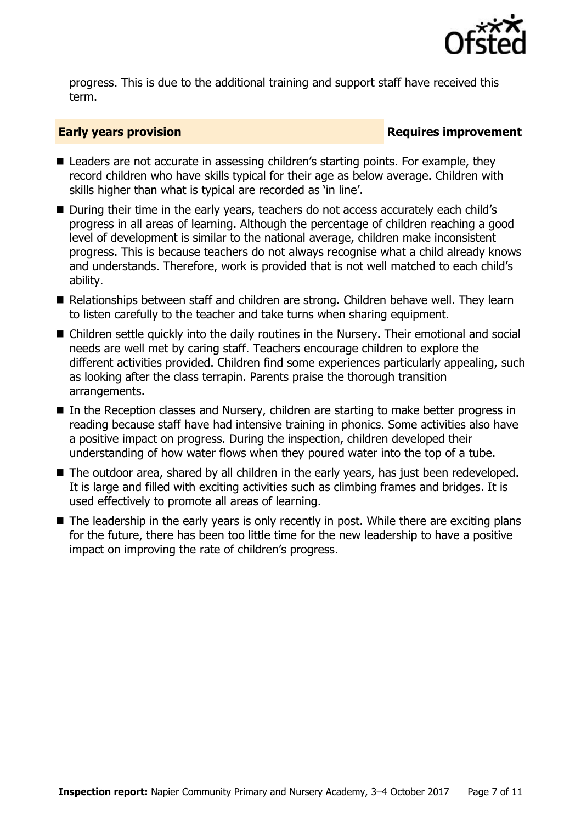

progress. This is due to the additional training and support staff have received this term.

#### **Early years provision**

- Leaders are not accurate in assessing children's starting points. For example, they record children who have skills typical for their age as below average. Children with skills higher than what is typical are recorded as 'in line'.
- During their time in the early years, teachers do not access accurately each child's progress in all areas of learning. Although the percentage of children reaching a good level of development is similar to the national average, children make inconsistent progress. This is because teachers do not always recognise what a child already knows and understands. Therefore, work is provided that is not well matched to each child's ability.
- Relationships between staff and children are strong. Children behave well. They learn to listen carefully to the teacher and take turns when sharing equipment.
- Children settle quickly into the daily routines in the Nursery. Their emotional and social needs are well met by caring staff. Teachers encourage children to explore the different activities provided. Children find some experiences particularly appealing, such as looking after the class terrapin. Parents praise the thorough transition arrangements.
- In the Reception classes and Nursery, children are starting to make better progress in reading because staff have had intensive training in phonics. Some activities also have a positive impact on progress. During the inspection, children developed their understanding of how water flows when they poured water into the top of a tube.
- The outdoor area, shared by all children in the early years, has just been redeveloped. It is large and filled with exciting activities such as climbing frames and bridges. It is used effectively to promote all areas of learning.
- The leadership in the early years is only recently in post. While there are exciting plans for the future, there has been too little time for the new leadership to have a positive impact on improving the rate of children's progress.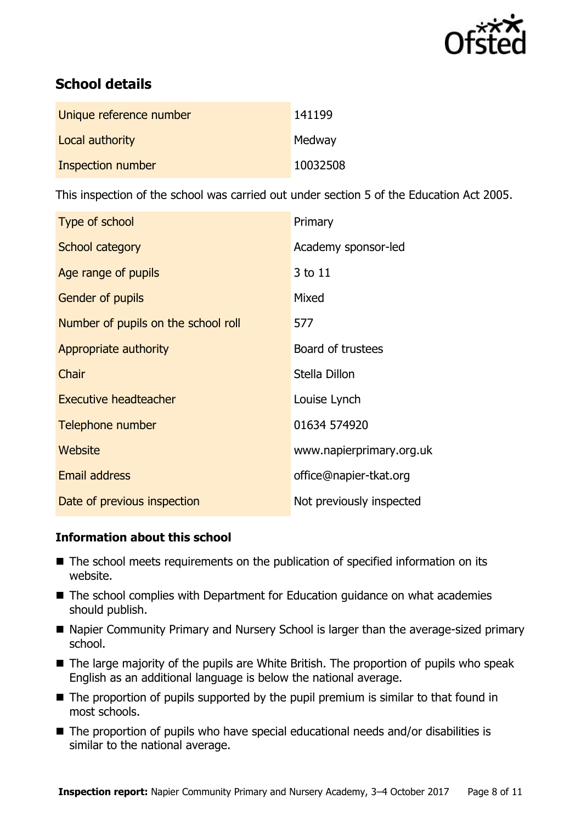

# **School details**

| Unique reference number | 141199   |
|-------------------------|----------|
| Local authority         | Medway   |
| Inspection number       | 10032508 |

This inspection of the school was carried out under section 5 of the Education Act 2005.

| Type of school                      | Primary                  |
|-------------------------------------|--------------------------|
| School category                     | Academy sponsor-led      |
| Age range of pupils                 | 3 to 11                  |
| Gender of pupils                    | Mixed                    |
| Number of pupils on the school roll | 577                      |
| Appropriate authority               | Board of trustees        |
| Chair                               | Stella Dillon            |
| <b>Executive headteacher</b>        | Louise Lynch             |
| Telephone number                    | 01634 574920             |
| Website                             | www.napierprimary.org.uk |
| <b>Email address</b>                | office@napier-tkat.org   |
| Date of previous inspection         | Not previously inspected |

### **Information about this school**

- The school meets requirements on the publication of specified information on its website.
- The school complies with Department for Education guidance on what academies should publish.
- Napier Community Primary and Nursery School is larger than the average-sized primary school.
- The large majority of the pupils are White British. The proportion of pupils who speak English as an additional language is below the national average.
- $\blacksquare$  The proportion of pupils supported by the pupil premium is similar to that found in most schools.
- The proportion of pupils who have special educational needs and/or disabilities is similar to the national average.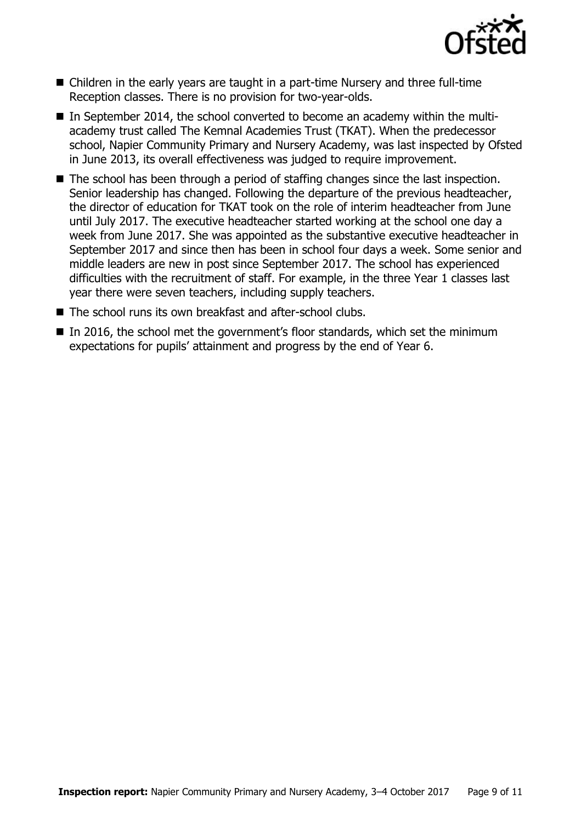

- Children in the early years are taught in a part-time Nursery and three full-time Reception classes. There is no provision for two-year-olds.
- In September 2014, the school converted to become an academy within the multiacademy trust called The Kemnal Academies Trust (TKAT). When the predecessor school, Napier Community Primary and Nursery Academy, was last inspected by Ofsted in June 2013, its overall effectiveness was judged to require improvement.
- The school has been through a period of staffing changes since the last inspection. Senior leadership has changed. Following the departure of the previous headteacher, the director of education for TKAT took on the role of interim headteacher from June until July 2017. The executive headteacher started working at the school one day a week from June 2017. She was appointed as the substantive executive headteacher in September 2017 and since then has been in school four days a week. Some senior and middle leaders are new in post since September 2017. The school has experienced difficulties with the recruitment of staff. For example, in the three Year 1 classes last year there were seven teachers, including supply teachers.
- The school runs its own breakfast and after-school clubs.
- In 2016, the school met the government's floor standards, which set the minimum expectations for pupils' attainment and progress by the end of Year 6.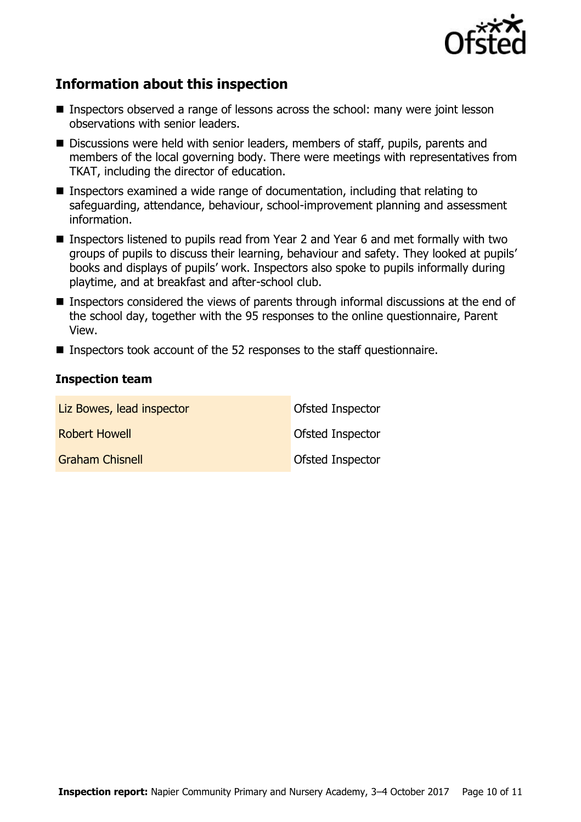

# **Information about this inspection**

- **Inspectors observed a range of lessons across the school: many were joint lesson** observations with senior leaders.
- Discussions were held with senior leaders, members of staff, pupils, parents and members of the local governing body. There were meetings with representatives from TKAT, including the director of education.
- Inspectors examined a wide range of documentation, including that relating to safeguarding, attendance, behaviour, school-improvement planning and assessment information.
- Inspectors listened to pupils read from Year 2 and Year 6 and met formally with two groups of pupils to discuss their learning, behaviour and safety. They looked at pupils' books and displays of pupils' work. Inspectors also spoke to pupils informally during playtime, and at breakfast and after-school club.
- **Inspectors considered the views of parents through informal discussions at the end of** the school day, together with the 95 responses to the online questionnaire, Parent View.
- Inspectors took account of the 52 responses to the staff questionnaire.

#### **Inspection team**

| Liz Bowes, lead inspector | Ofsted Inspector |
|---------------------------|------------------|
| <b>Robert Howell</b>      | Ofsted Inspector |
| <b>Graham Chisnell</b>    | Ofsted Inspector |